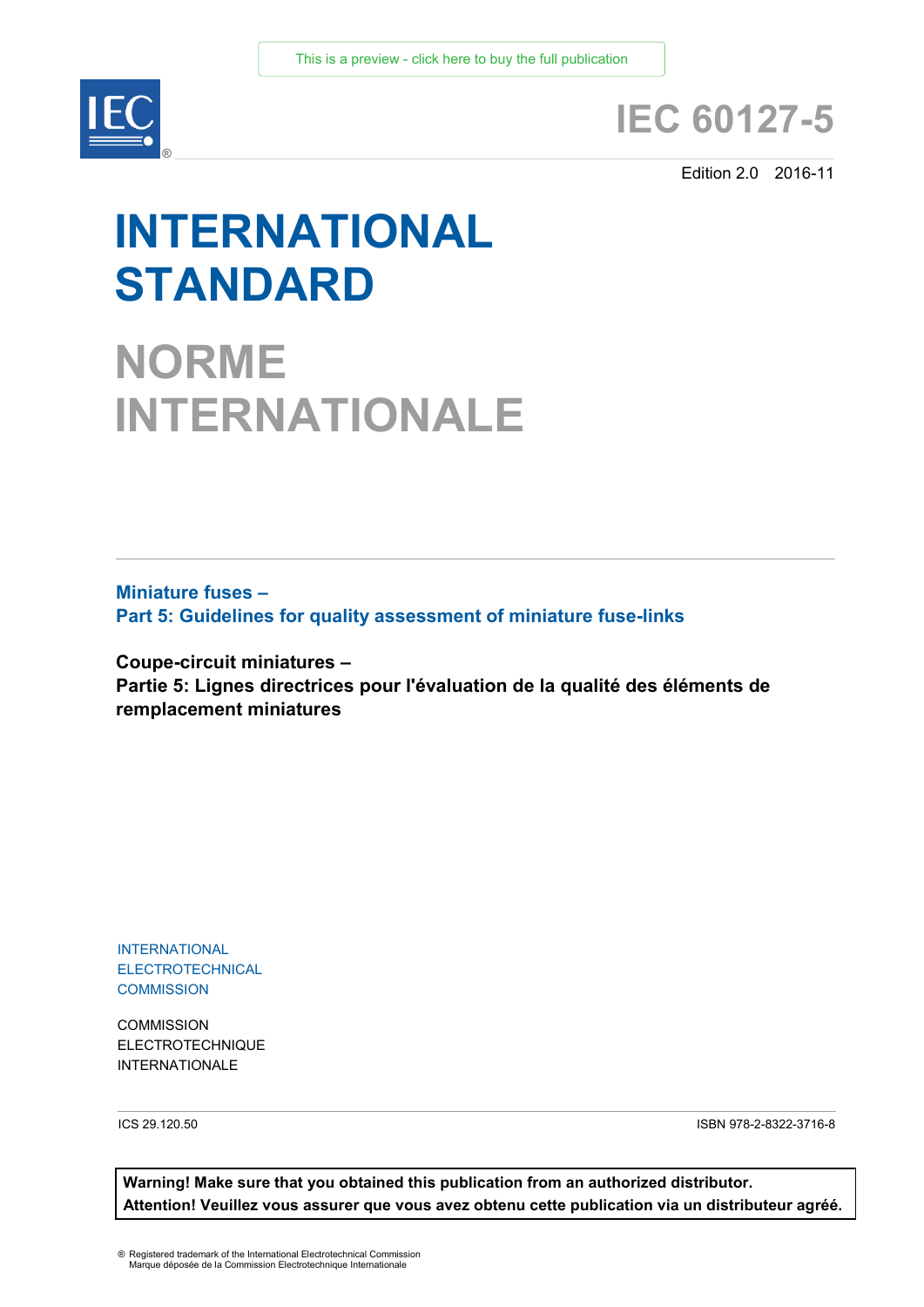

# **IEC 60127-5**

Edition 2.0 2016-11

# **INTERNATIONAL STANDARD**

**NORME INTERNATIONALE**

**Miniature fuses – Part 5: Guidelines for quality assessment of miniature fuse-links** 

**Coupe-circuit miniatures – Partie 5: Lignes directrices pour l'évaluation de la qualité des éléments de remplacement miniatures**

INTERNATIONAL **ELECTROTECHNICAL COMMISSION** 

**COMMISSION** ELECTROTECHNIQUE INTERNATIONALE

ICS 29.120.50 ISBN 978-2-8322-3716-8

**Warning! Make sure that you obtained this publication from an authorized distributor. Attention! Veuillez vous assurer que vous avez obtenu cette publication via un distributeur agréé.**

® Registered trademark of the International Electrotechnical Commission Marque déposée de la Commission Electrotechnique Internationale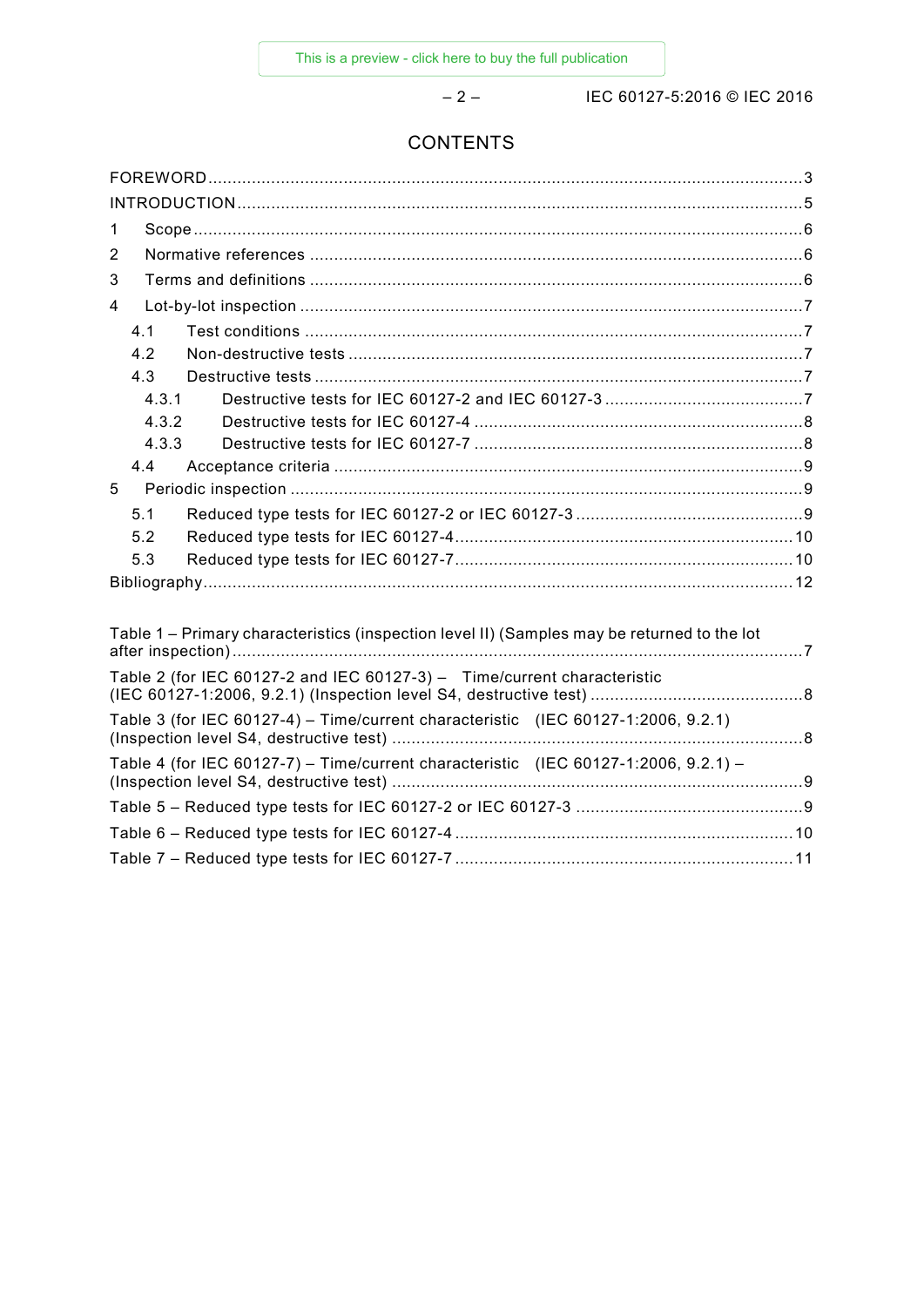– 2 – IEC 60127-5:2016 © IEC 2016

# **CONTENTS**

| 1                                                                                           |  |  |  |
|---------------------------------------------------------------------------------------------|--|--|--|
| 2                                                                                           |  |  |  |
| 3                                                                                           |  |  |  |
| 4                                                                                           |  |  |  |
| 4.1                                                                                         |  |  |  |
| 4.2                                                                                         |  |  |  |
| 4.3                                                                                         |  |  |  |
| 4.3.1                                                                                       |  |  |  |
| 4.3.2                                                                                       |  |  |  |
| 4.3.3                                                                                       |  |  |  |
| 4.4                                                                                         |  |  |  |
| 5                                                                                           |  |  |  |
| 5.1                                                                                         |  |  |  |
| 5.2                                                                                         |  |  |  |
| 5.3                                                                                         |  |  |  |
|                                                                                             |  |  |  |
|                                                                                             |  |  |  |
| Table 1 – Primary characteristics (inspection level II) (Samples may be returned to the lot |  |  |  |
| Table 2 (for IEC 60127-2 and IEC 60127-3) - Time/current characteristic                     |  |  |  |
|                                                                                             |  |  |  |

| Table 3 (for IEC 60127-4) - Time/current characteristic (IEC 60127-1:2006, 9.2.1)   |  |
|-------------------------------------------------------------------------------------|--|
| Table 4 (for IEC 60127-7) – Time/current characteristic (IEC 60127-1:2006, 9.2.1) – |  |
|                                                                                     |  |
| Table 6 – Reduced type tests for IEC 60127-4 ……………………………………………………………10              |  |
|                                                                                     |  |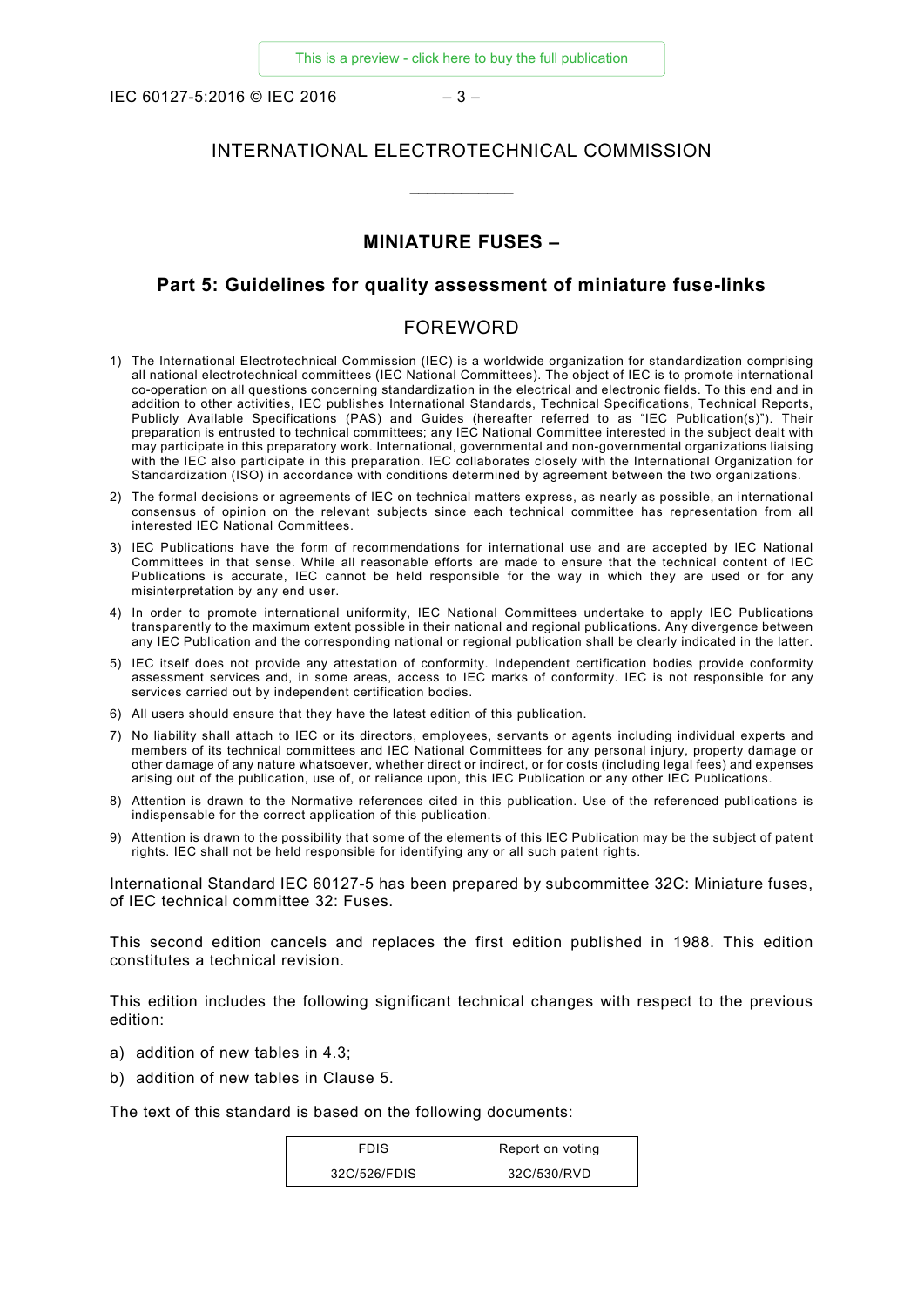IEC 60127-5:2016 © IEC 2016  $-3-$ 

# INTERNATIONAL ELECTROTECHNICAL COMMISSION

\_\_\_\_\_\_\_\_\_\_\_\_

# **MINIATURE FUSES –**

#### **Part 5: Guidelines for quality assessment of miniature fuse-links**

### FOREWORD

- <span id="page-2-0"></span>1) The International Electrotechnical Commission (IEC) is a worldwide organization for standardization comprising all national electrotechnical committees (IEC National Committees). The object of IEC is to promote international co-operation on all questions concerning standardization in the electrical and electronic fields. To this end and in addition to other activities, IEC publishes International Standards, Technical Specifications, Technical Reports, Publicly Available Specifications (PAS) and Guides (hereafter referred to as "IEC Publication(s)"). Their preparation is entrusted to technical committees; any IEC National Committee interested in the subject dealt with may participate in this preparatory work. International, governmental and non-governmental organizations liaising with the IEC also participate in this preparation. IEC collaborates closely with the International Organization for Standardization (ISO) in accordance with conditions determined by agreement between the two organizations.
- 2) The formal decisions or agreements of IEC on technical matters express, as nearly as possible, an international consensus of opinion on the relevant subjects since each technical committee has representation from all interested IEC National Committees.
- 3) IEC Publications have the form of recommendations for international use and are accepted by IEC National Committees in that sense. While all reasonable efforts are made to ensure that the technical content of IEC Publications is accurate, IEC cannot be held responsible for the way in which they are used or for any misinterpretation by any end user.
- 4) In order to promote international uniformity, IEC National Committees undertake to apply IEC Publications transparently to the maximum extent possible in their national and regional publications. Any divergence between any IEC Publication and the corresponding national or regional publication shall be clearly indicated in the latter.
- 5) IEC itself does not provide any attestation of conformity. Independent certification bodies provide conformity assessment services and, in some areas, access to IEC marks of conformity. IEC is not responsible for any services carried out by independent certification bodies.
- 6) All users should ensure that they have the latest edition of this publication.
- 7) No liability shall attach to IEC or its directors, employees, servants or agents including individual experts and members of its technical committees and IEC National Committees for any personal injury, property damage or other damage of any nature whatsoever, whether direct or indirect, or for costs (including legal fees) and expenses arising out of the publication, use of, or reliance upon, this IEC Publication or any other IEC Publications.
- 8) Attention is drawn to the Normative references cited in this publication. Use of the referenced publications is indispensable for the correct application of this publication.
- 9) Attention is drawn to the possibility that some of the elements of this IEC Publication may be the subject of patent rights. IEC shall not be held responsible for identifying any or all such patent rights.

International Standard IEC 60127-5 has been prepared by subcommittee 32C: Miniature fuses, of IEC technical committee 32: Fuses.

This second edition cancels and replaces the first edition published in 1988. This edition constitutes a technical revision.

This edition includes the following significant technical changes with respect to the previous edition:

- a) addition of new tables in 4.3;
- b) addition of new tables in Clause 5.

The text of this standard is based on the following documents:

| <b>FDIS</b>  | Report on voting |
|--------------|------------------|
| 32C/526/FDIS | 32C/530/RVD      |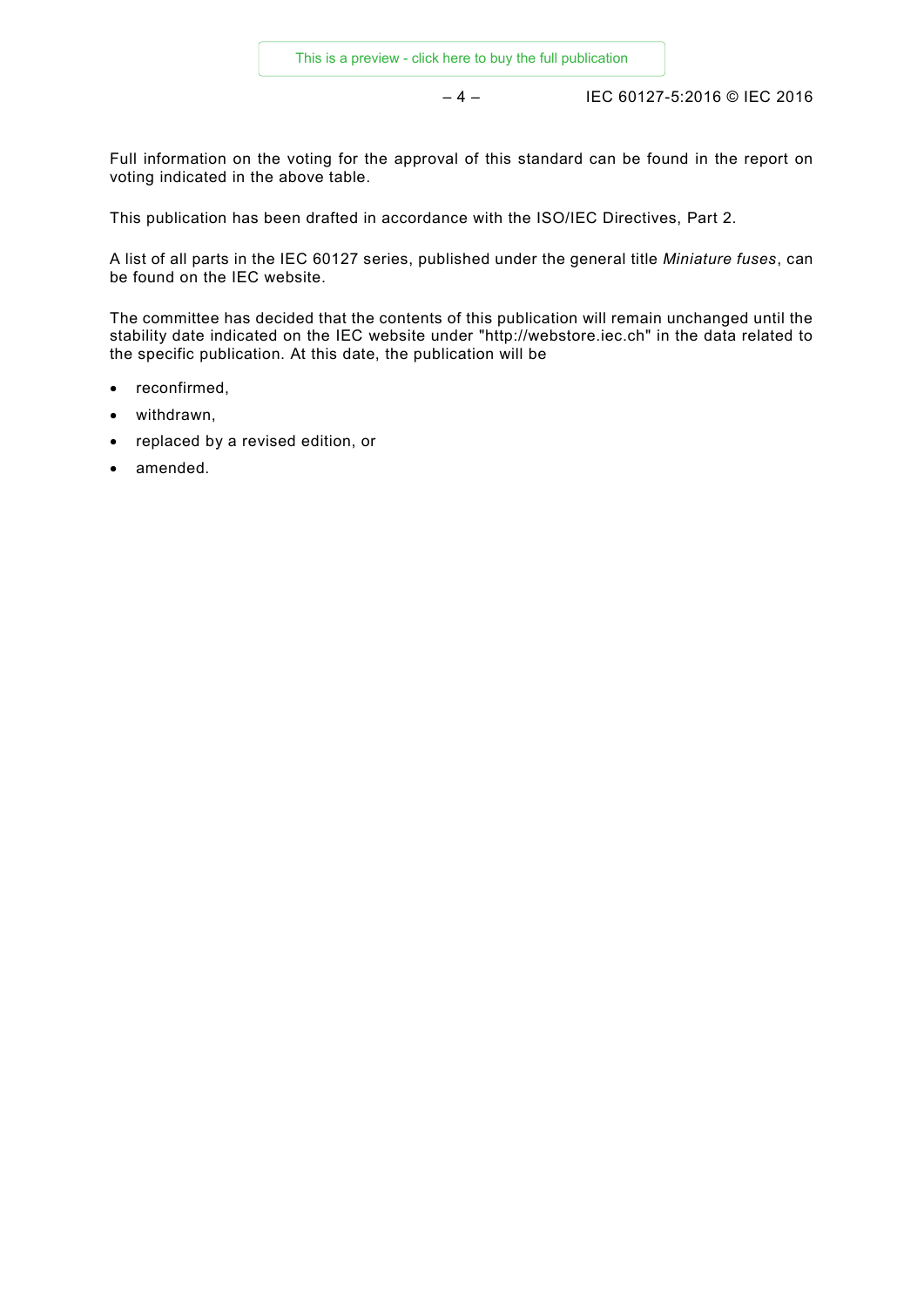– 4 – IEC 60127-5:2016 © IEC 2016

Full information on the voting for the approval of this standard can be found in the report on voting indicated in the above table.

This publication has been drafted in accordance with the ISO/IEC Directives, Part 2.

A list of all parts in the IEC 60127 series, published under the general title *Miniature fuses*, can be found on the IEC website.

The committee has decided that the contents of this publication will remain unchanged until the stability date indicated on the IEC website under "http://webstore.iec.ch" in the data related to the specific publication. At this date, the publication will be

- reconfirmed,
- withdrawn,
- replaced by a revised edition, or
- amended.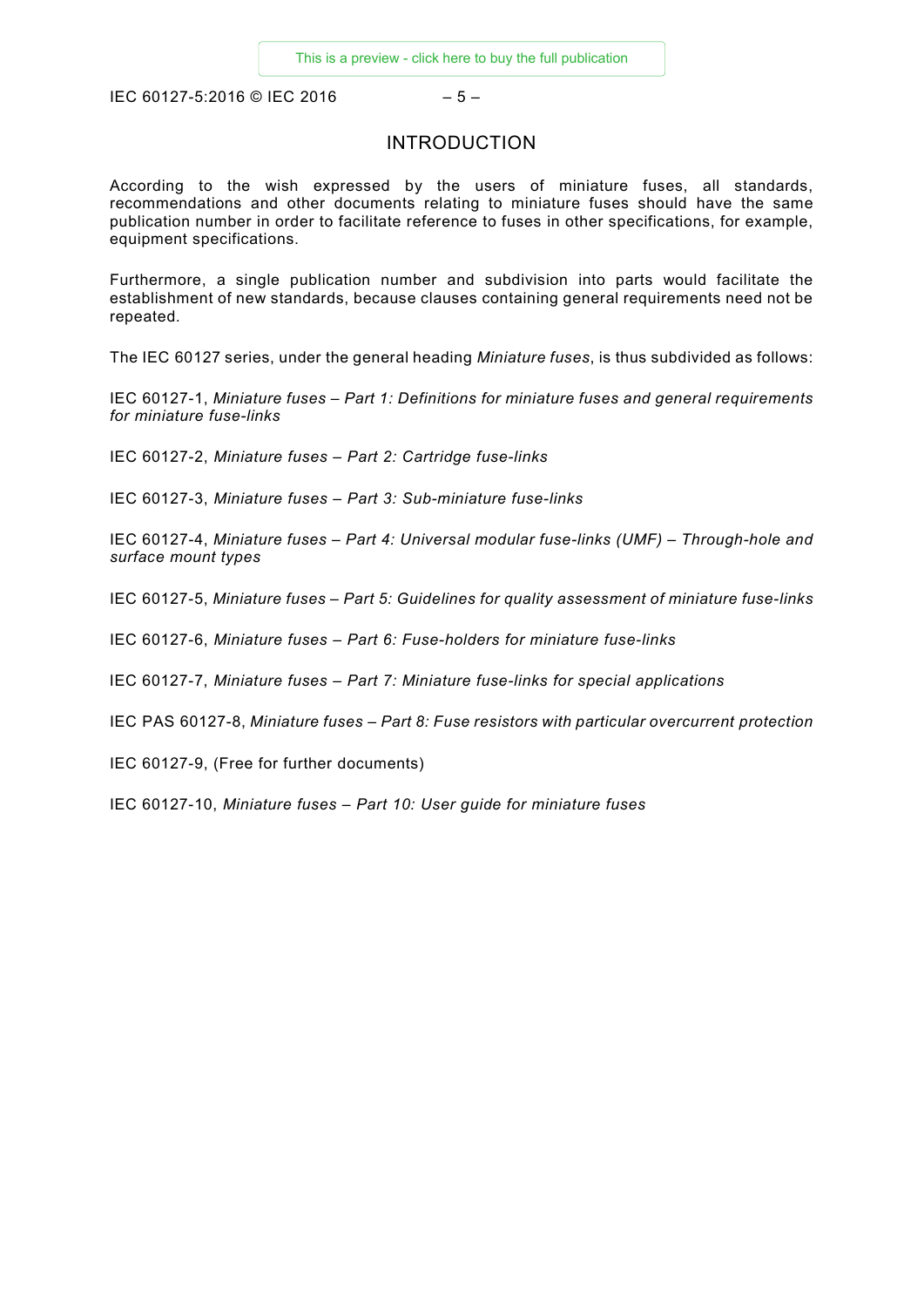<span id="page-4-0"></span>IEC 60127-5:2016 © IEC 2016  $-5-$ 

# INTRODUCTION

According to the wish expressed by the users of miniature fuses, all standards, recommendations and other documents relating to miniature fuses should have the same publication number in order to facilitate reference to fuses in other specifications, for example, equipment specifications.

Furthermore, a single publication number and subdivision into parts would facilitate the establishment of new standards, because clauses containing general requirements need not be repeated.

The IEC 60127 series, under the general heading *Miniature fuses*, is thus subdivided as follows:

IEC 60127-1, *Miniature fuses – Part 1: Definitions for miniature fuses and general requirements for miniature fuse-links*

IEC 60127-2, *Miniature fuses – Part 2: Cartridge fuse-links*

IEC 60127-3, *Miniature fuses – Part 3: Sub-miniature fuse-links*

IEC 60127-4, *Miniature fuses – Part 4: Universal modular fuse-links (UMF) – Through-hole and surface mount types*

IEC 60127-5, *Miniature fuses – Part 5: Guidelines for quality assessment of miniature fuse-links*

IEC 60127-6, *Miniature fuses – Part 6: Fuse-holders for miniature fuse-links*

IEC 60127-7, *Miniature fuses – Part 7: Miniature fuse-links for special applications*

IEC PAS 60127-8, *Miniature fuses – Part 8: Fuse resistors with particular overcurrent protection* 

IEC 60127-9, (Free for further documents)

IEC 60127-10, *Miniature fuses – Part 10: User guide for miniature fuses*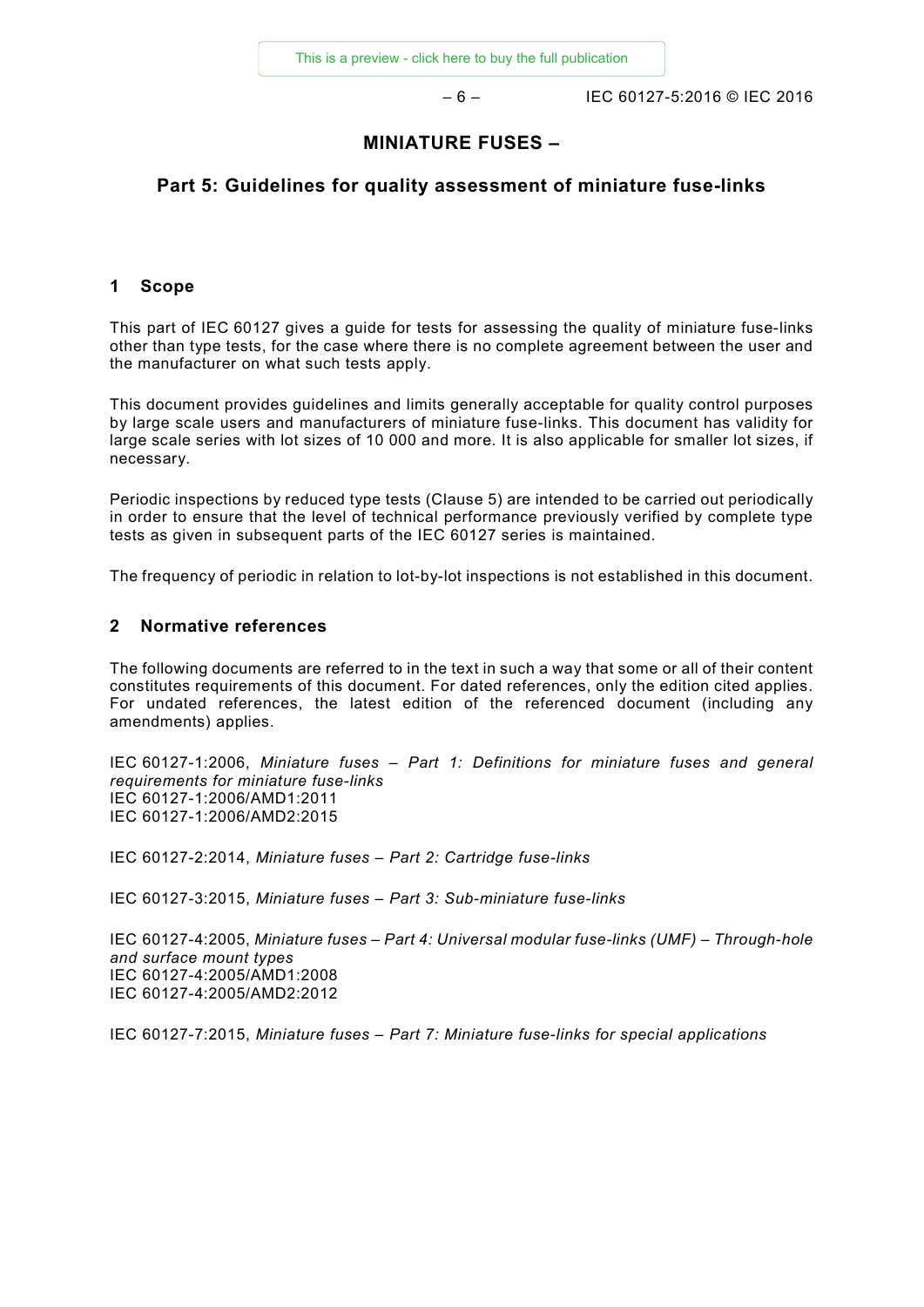– 6 – IEC 60127-5:2016 © IEC 2016

# **MINIATURE FUSES –**

# **Part 5: Guidelines for quality assessment of miniature fuse-links**

#### <span id="page-5-0"></span>**1 Scope**

This part of IEC 60127 gives a guide for tests for assessing the quality of miniature fuse-links other than type tests, for the case where there is no complete agreement between the user and the manufacturer on what such tests apply.

This document provides guidelines and limits generally acceptable for quality control purposes by large scale users and manufacturers of miniature fuse-links. This document has validity for large scale series with lot sizes of 10 000 and more. It is also applicable for smaller lot sizes, if necessary.

Periodic inspections by reduced type tests (Clause 5) are intended to be carried out periodically in order to ensure that the level of technical performance previously verified by complete type tests as given in subsequent parts of the IEC 60127 series is maintained.

The frequency of periodic in relation to lot-by-lot inspections is not established in this document.

#### <span id="page-5-1"></span>**2 Normative references**

The following documents are referred to in the text in such a way that some or all of their content constitutes requirements of this document. For dated references, only the edition cited applies. For undated references, the latest edition of the referenced document (including any amendments) applies.

IEC 60127-1:2006, *Miniature fuses – Part 1: Definitions for miniature fuses and general requirements for miniature fuse-links*  IEC 60127-1:2006/AMD1:2011 IEC 60127-1:2006/AMD2:2015

IEC 60127-2:2014, *Miniature fuses – Part 2: Cartridge fuse-links*

IEC 60127-3:2015, *Miniature fuses – Part 3: Sub-miniature fuse-links*

IEC 60127-4:2005, *Miniature fuses – Part 4: Universal modular fuse-links (UMF) – Through-hole and surface mount types*  IEC 60127-4:2005/AMD1:2008 IEC 60127-4:2005/AMD2:2012

<span id="page-5-2"></span>IEC 60127-7:2015, *Miniature fuses – Part 7: Miniature fuse-links for special applications*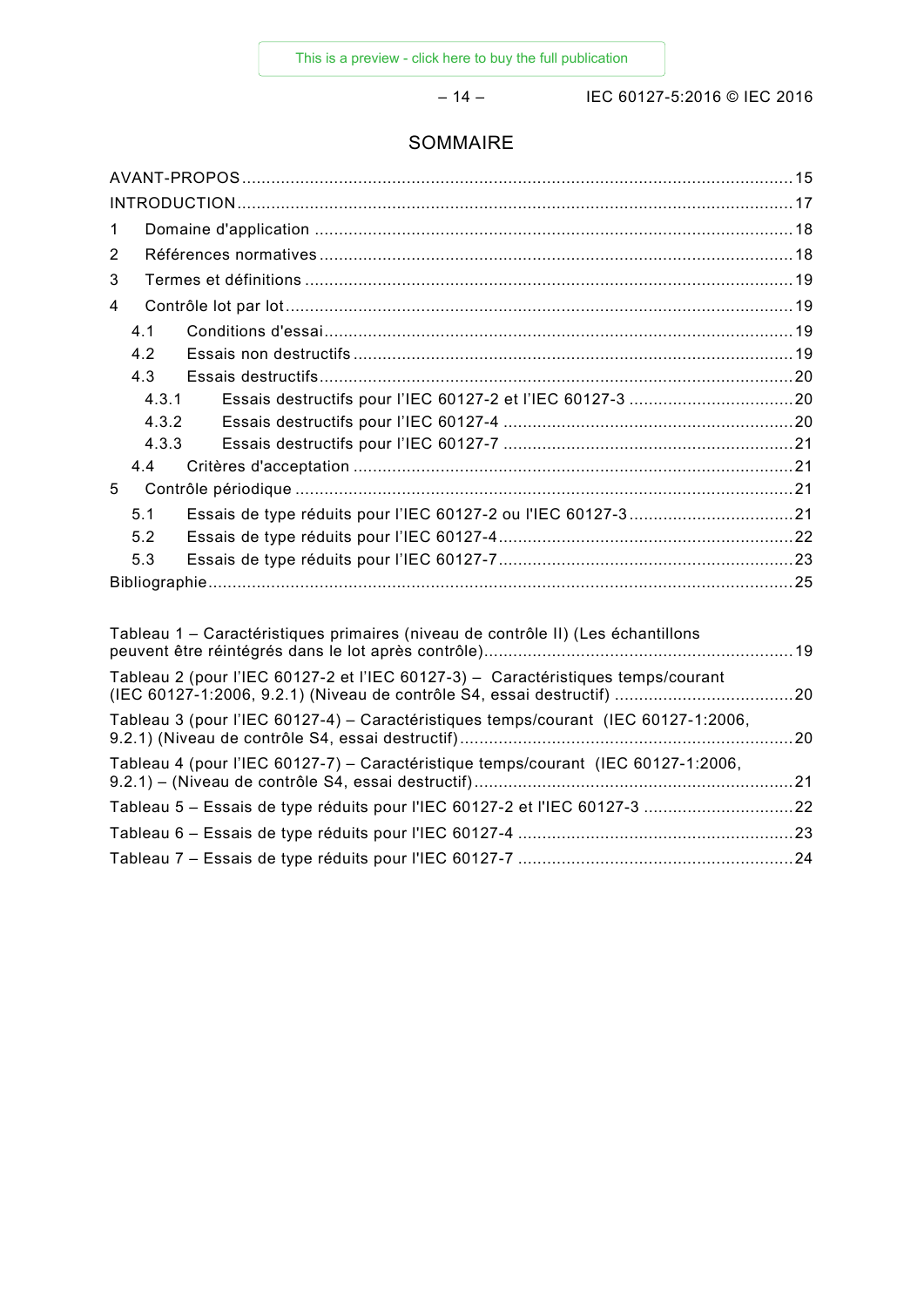– 14 – IEC 60127-5:2016 © IEC 2016

# SOMMAIRE

| $\mathbf 1$    |                |  |  |  |  |
|----------------|----------------|--|--|--|--|
| $\overline{2}$ |                |  |  |  |  |
| 3              |                |  |  |  |  |
| 4              |                |  |  |  |  |
|                | 4.1            |  |  |  |  |
|                | 4.2            |  |  |  |  |
|                | 4.3            |  |  |  |  |
|                | 4.3.1          |  |  |  |  |
|                | 4.3.2          |  |  |  |  |
|                | 4.3.3          |  |  |  |  |
|                | 4.4            |  |  |  |  |
| 5              |                |  |  |  |  |
|                | 5 <sub>1</sub> |  |  |  |  |
|                | 5.2            |  |  |  |  |
|                | 5.3            |  |  |  |  |
|                |                |  |  |  |  |
|                |                |  |  |  |  |

| Tableau 1 – Caractéristiques primaires (niveau de contrôle II) (Les échantillons   |  |
|------------------------------------------------------------------------------------|--|
| Tableau 2 (pour l'IEC 60127-2 et l'IEC 60127-3) - Caractéristiques temps/courant   |  |
| Tableau 3 (pour l'IEC 60127-4) – Caractéristiques temps/courant (IEC 60127-1:2006, |  |
| Tableau 4 (pour l'IEC 60127-7) – Caractéristique temps/courant (IEC 60127-1:2006,  |  |
| Tableau 5 - Essais de type réduits pour l'IEC 60127-2 et l'IEC 60127-3 22          |  |
|                                                                                    |  |
|                                                                                    |  |
|                                                                                    |  |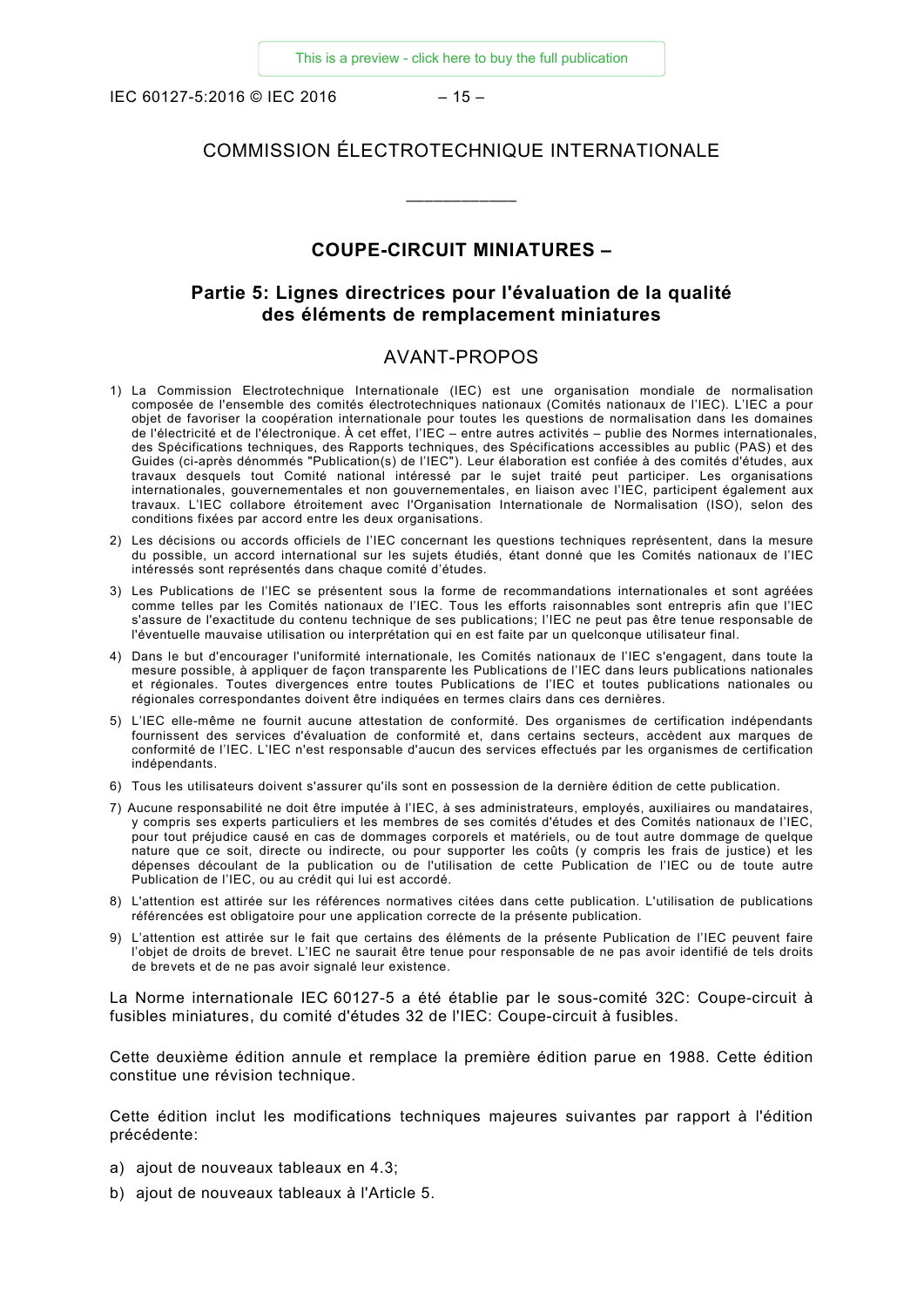IEC 60127-5:2016 © IEC 2016  $-15-$ 

# COMMISSION ÉLECTROTECHNIQUE INTERNATIONALE

\_\_\_\_\_\_\_\_\_\_\_\_

# **COUPE-CIRCUIT MINIATURES –**

# **Partie 5: Lignes directrices pour l'évaluation de la qualité des éléments de remplacement miniatures**

#### AVANT-PROPOS

- <span id="page-7-0"></span>1) La Commission Electrotechnique Internationale (IEC) est une organisation mondiale de normalisation composée de l'ensemble des comités électrotechniques nationaux (Comités nationaux de l'IEC). L'IEC a pour objet de favoriser la coopération internationale pour toutes les questions de normalisation dans les domaines de l'électricité et de l'électronique. À cet effet, l'IEC – entre autres activités – publie des Normes internationales, des Spécifications techniques, des Rapports techniques, des Spécifications accessibles au public (PAS) et des Guides (ci-après dénommés "Publication(s) de l'IEC"). Leur élaboration est confiée à des comités d'études, aux travaux desquels tout Comité national intéressé par le sujet traité peut participer. Les organisations internationales, gouvernementales et non gouvernementales, en liaison avec l'IEC, participent également aux travaux. L'IEC collabore étroitement avec l'Organisation Internationale de Normalisation (ISO), selon des conditions fixées par accord entre les deux organisations.
- 2) Les décisions ou accords officiels de l'IEC concernant les questions techniques représentent, dans la mesure du possible, un accord international sur les sujets étudiés, étant donné que les Comités nationaux de l'IEC intéressés sont représentés dans chaque comité d'études.
- 3) Les Publications de l'IEC se présentent sous la forme de recommandations internationales et sont agréées comme telles par les Comités nationaux de l'IEC. Tous les efforts raisonnables sont entrepris afin que l'IEC s'assure de l'exactitude du contenu technique de ses publications; l'IEC ne peut pas être tenue responsable de l'éventuelle mauvaise utilisation ou interprétation qui en est faite par un quelconque utilisateur final.
- 4) Dans le but d'encourager l'uniformité internationale, les Comités nationaux de l'IEC s'engagent, dans toute la mesure possible, à appliquer de façon transparente les Publications de l'IEC dans leurs publications nationales et régionales. Toutes divergences entre toutes Publications de l'IEC et toutes publications nationales ou régionales correspondantes doivent être indiquées en termes clairs dans ces dernières.
- 5) L'IEC elle-même ne fournit aucune attestation de conformité. Des organismes de certification indépendants fournissent des services d'évaluation de conformité et, dans certains secteurs, accèdent aux marques de conformité de l'IEC. L'IEC n'est responsable d'aucun des services effectués par les organismes de certification indépendants.
- 6) Tous les utilisateurs doivent s'assurer qu'ils sont en possession de la dernière édition de cette publication.
- 7) Aucune responsabilité ne doit être imputée à l'IEC, à ses administrateurs, employés, auxiliaires ou mandataires, y compris ses experts particuliers et les membres de ses comités d'études et des Comités nationaux de l'IEC, pour tout préjudice causé en cas de dommages corporels et matériels, ou de tout autre dommage de quelque nature que ce soit, directe ou indirecte, ou pour supporter les coûts (y compris les frais de justice) et les dépenses découlant de la publication ou de l'utilisation de cette Publication de l'IEC ou de toute autre Publication de l'IEC, ou au crédit qui lui est accordé.
- 8) L'attention est attirée sur les références normatives citées dans cette publication. L'utilisation de publications référencées est obligatoire pour une application correcte de la présente publication.
- 9) L'attention est attirée sur le fait que certains des éléments de la présente Publication de l'IEC peuvent faire l'objet de droits de brevet. L'IEC ne saurait être tenue pour responsable de ne pas avoir identifié de tels droits de brevets et de ne pas avoir signalé leur existence.

La Norme internationale IEC 60127-5 a été établie par le sous-comité 32C: Coupe-circuit à fusibles miniatures, du comité d'études 32 de l'IEC: Coupe-circuit à fusibles.

Cette deuxième édition annule et remplace la première édition parue en 1988. Cette édition constitue une révision technique.

Cette édition inclut les modifications techniques majeures suivantes par rapport à l'édition précédente:

- a) ajout de nouveaux tableaux en 4.3;
- b) ajout de nouveaux tableaux à l'Article 5.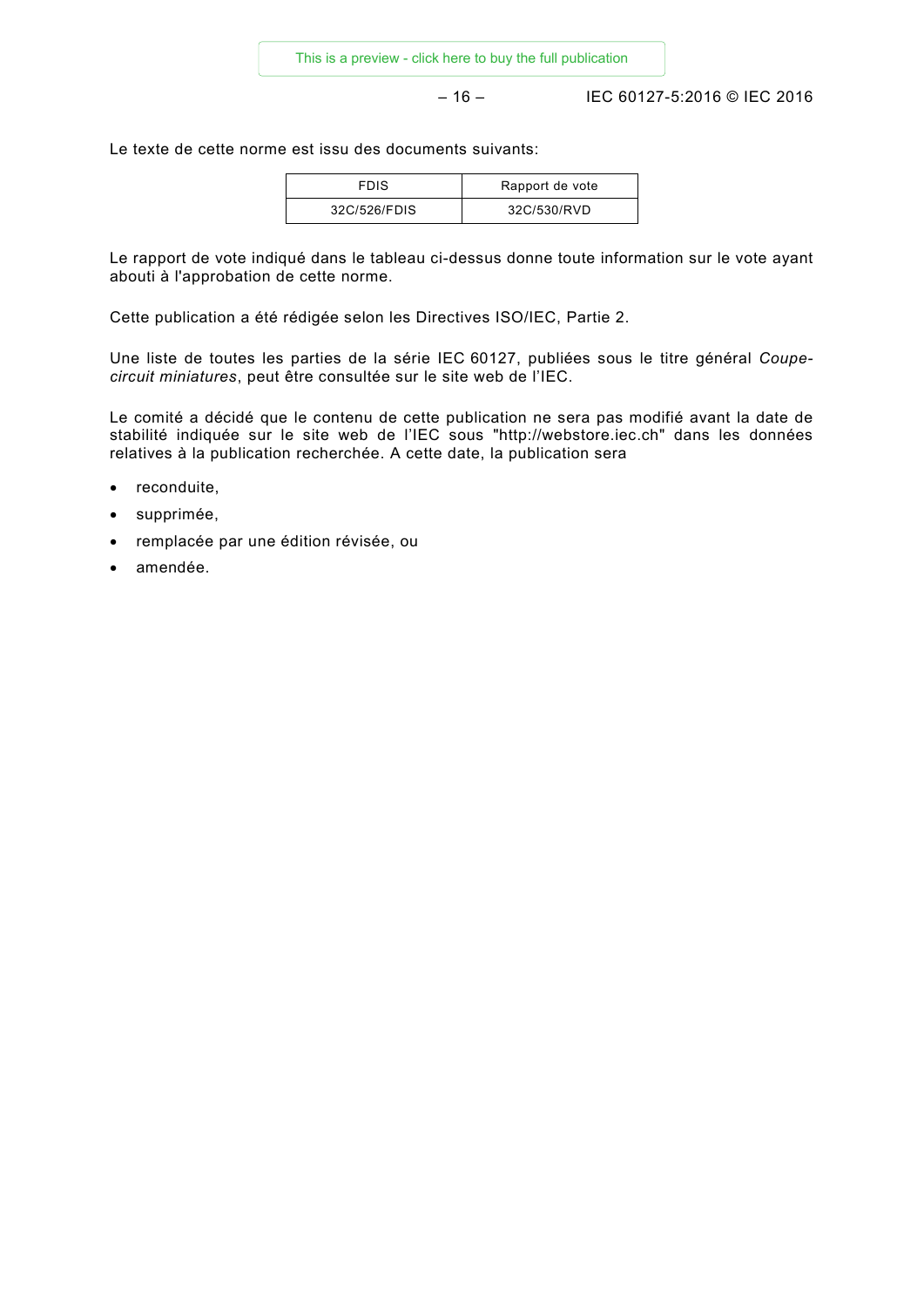– 16 – IEC 60127-5:2016 © IEC 2016

Le texte de cette norme est issu des documents suivants:

| <b>FDIS</b>  | Rapport de vote |
|--------------|-----------------|
| 32C/526/FDIS | 32C/530/RVD     |

Le rapport de vote indiqué dans le tableau ci-dessus donne toute information sur le vote ayant abouti à l'approbation de cette norme.

Cette publication a été rédigée selon les Directives ISO/IEC, Partie 2.

Une liste de toutes les parties de la série IEC 60127, publiées sous le titre général *Coupecircuit miniatures*, peut être consultée sur le site web de l'IEC.

Le comité a décidé que le contenu de cette publication ne sera pas modifié avant la date de stabilité indiquée sur le site web de l'IEC sous "http://webstore.iec.ch" dans les données relatives à la publication recherchée. A cette date, la publication sera

- reconduite,
- supprimée,
- remplacée par une édition révisée, ou
- amendée.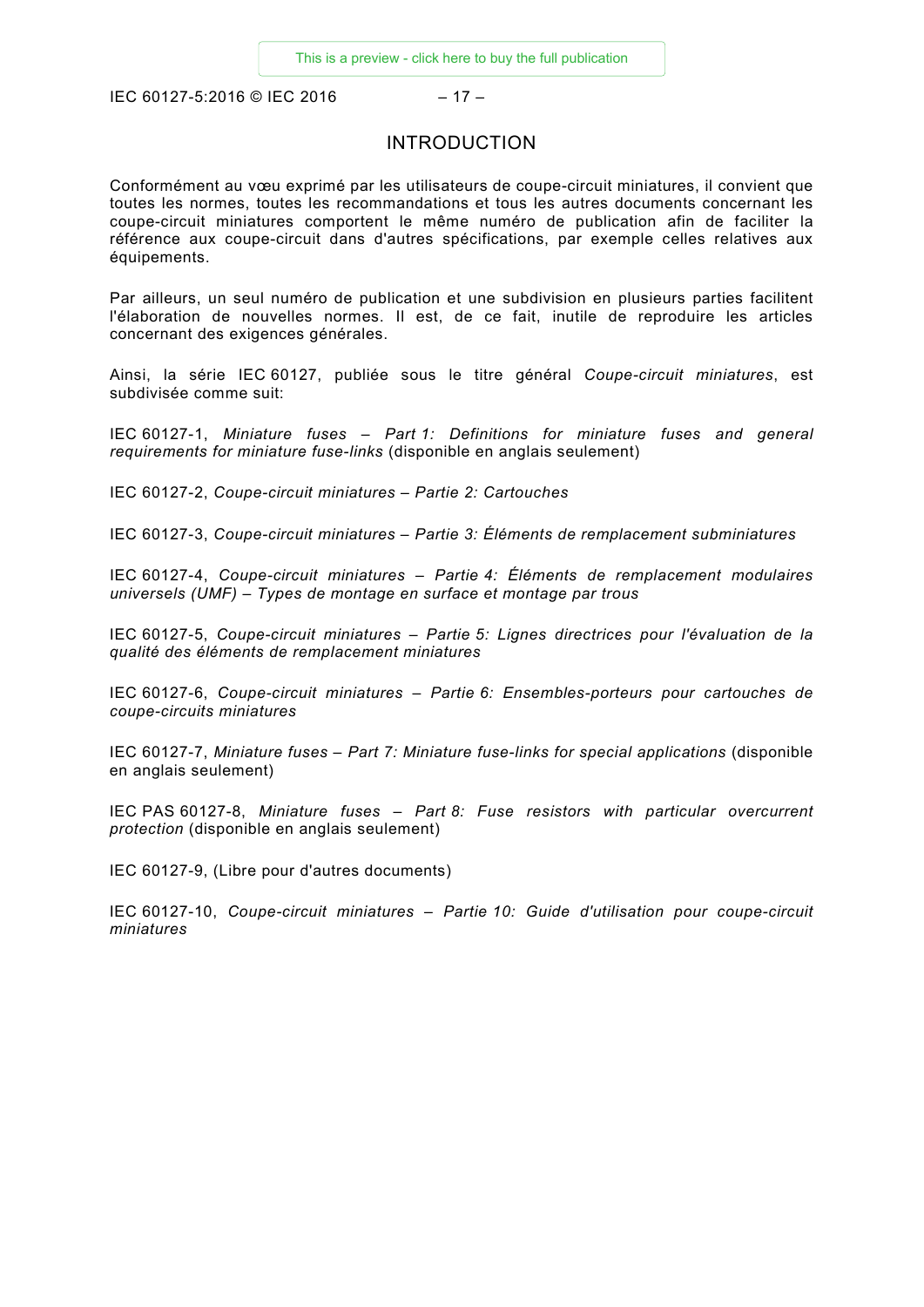<span id="page-9-0"></span>IEC 60127-5:2016 © IEC 2016  $-17-$ 

### INTRODUCTION

Conformément au vœu exprimé par les utilisateurs de coupe-circuit miniatures, il convient que toutes les normes, toutes les recommandations et tous les autres documents concernant les coupe-circuit miniatures comportent le même numéro de publication afin de faciliter la référence aux coupe-circuit dans d'autres spécifications, par exemple celles relatives aux équipements.

Par ailleurs, un seul numéro de publication et une subdivision en plusieurs parties facilitent l'élaboration de nouvelles normes. Il est, de ce fait, inutile de reproduire les articles concernant des exigences générales.

Ainsi, la série IEC 60127, publiée sous le titre général *Coupe-circuit miniatures*, est subdivisée comme suit:

IEC 60127-1, *Miniature fuses – Part 1: Definitions for miniature fuses and general requirements for miniature fuse-links* (disponible en anglais seulement)

IEC 60127-2, *Coupe-circuit miniatures – Partie 2: Cartouches*

IEC 60127-3, *Coupe-circuit miniatures – Partie 3: Éléments de remplacement subminiatures*

IEC 60127-4, *Coupe-circuit miniatures – Partie 4: Éléments de remplacement modulaires universels (UMF) – Types de montage en surface et montage par trous*

IEC 60127-5, *Coupe-circuit miniatures – Partie 5: Lignes directrices pour l'évaluation de la qualité des éléments de remplacement miniatures*

IEC 60127-6, *Coupe-circuit miniatures – Partie 6: Ensembles-porteurs pour cartouches de coupe-circuits miniatures*

IEC 60127-7, *Miniature fuses – Part 7: Miniature fuse-links for special applications* (disponible en anglais seulement)

IEC PAS 60127-8, *Miniature fuses – Part 8: Fuse resistors with particular overcurrent protection* (disponible en anglais seulement)

IEC 60127-9, (Libre pour d'autres documents)

IEC 60127-10, *Coupe-circuit miniatures – Partie 10: Guide d'utilisation pour coupe-circuit miniatures*